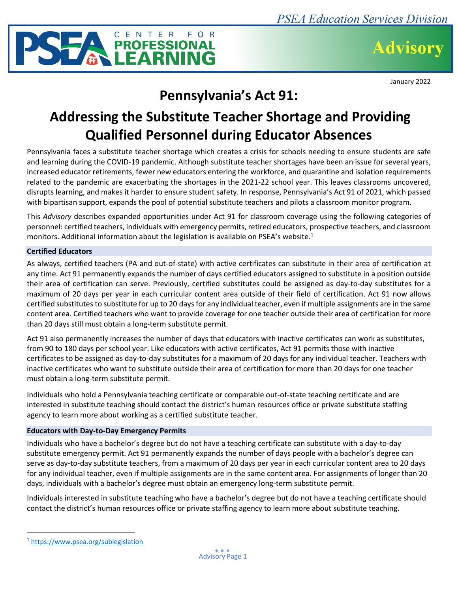

**Advisory** 

January 2022

## **Pennsylvania's Act 91:**

# **Addressing the Substitute Teacher Shortage and Providing Qualified Personnel during Educator Absences**

Pennsylvania faces a substitute teacher shortage which creates a crisis for schools needing to ensure students are safe and learning during the COVID-19 pandemic. Although substitute teacher shortages have been an issue for several years, increased educator retirements, fewer new educators entering the workforce, and quarantine and isolation requirements related to the pandemic are exacerbating the shortages in the 2021-22 school year. This leaves classrooms uncovered, disrupts learning, and makes it harder to ensure student safety. In response, Pennsylvania's Act 91 of 2021, which passed with bipartisan support, expands the pool of potential substitute teachers and pilots a classroom monitor program.

This *Advisory* describes expanded opportunities under Act 91 for classroom coverage using the following categories of personnel: certified teachers, individuals with emergency permits, retired educators, prospective teachers, and classroom monitors. Additional information about the legislation is available on PSEA's website. 1

## **Certified Educators**

As always, certified teachers (PA and out-of-state) with active certificates can substitute in their area of certification at any time. Act 91 permanently expands the number of days certified educators assigned to substitute in a position outside their area of certification can serve. Previously, certified substitutes could be assigned as day-to-day substitutes for a maximum of 20 days per year in each curricular content area outside of their field of certification. Act 91 now allows certified substitutes to substitute for up to 20 days for any individual teacher, even if multiple assignments are in the same content area. Certified teachers who want to provide coverage for one teacher outside their area of certification for more than 20 days still must obtain a long-term substitute permit.

Act 91 also permanently increases the number of days that educators with inactive certificates can work as substitutes, from 90 to 180 days per school year. Like educators with active certificates, Act 91 permits those with inactive certificates to be assigned as day-to-day substitutes for a maximum of 20 days for any individual teacher. Teachers with inactive certificates who want to substitute outside their area of certification for more than 20 days for one teacher must obtain a long-term substitute permit.

Individuals who hold a Pennsylvania teaching certificate or comparable out-of-state teaching certificate and are interested in substitute teaching should contact the district's human resources office or private substitute staffing agency to learn more about working as a certified substitute teacher.

## **Educators with Day-to-Day Emergency Permits**

Individuals who have a bachelor's degree but do not have a teaching certificate can substitute with a day-to-day substitute emergency permit. Act 91 permanently expands the number of days people with a bachelor's degree can serve as day-to-day substitute teachers, from a maximum of 20 days per year in each curricular content area to 20 days for any individual teacher, even if multiple assignments are in the same content area. For assignments of longer than 20 days, individuals with a bachelor's degree must obtain an emergency long-term substitute permit.

Individuals interested in substitute teaching who have a bachelor's degree but do not have a teaching certificate should contact the district's human resources office or private staffing agency to learn more about substitute teaching.

<sup>1</sup> <https://www.psea.org/sublegislation>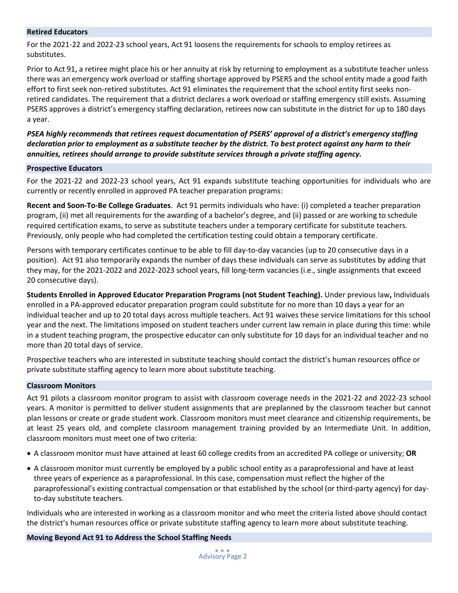#### **Retired Educators**

For the 2021-22 and 2022-23 school years, Act 91 loosens the requirements for schools to employ retirees as substitutes.

Prior to Act 91, a retiree might place his or her annuity at risk by returning to employment as a substitute teacher unless there was an emergency work overload or staffing shortage approved by PSERS and the school entity made a good faith effort to first seek non-retired substitutes. Act 91 eliminates the requirement that the school entity first seeks nonretired candidates. The requirement that a district declares a work overload or staffing emergency still exists. Assuming PSERS approves a district's emergency staffing declaration, retirees now can substitute in the district for up to 180 days a year.

*PSEA highly recommends that retirees request documentation of PSERS' approval of a district's emergency staffing declaration prior to employment as a substitute teacher by the district. To best protect against any harm to their annuities, retirees should arrange to provide substitute services through a private staffing agency.*

#### **Prospective Educators**

For the 2021-22 and 2022-23 school years, Act 91 expands substitute teaching opportunities for individuals who are currently or recently enrolled in approved PA teacher preparation programs:

**Recent and Soon-To-Be College Graduates**. Act 91 permits individuals who have: (i) completed a teacher preparation program, (ii) met all requirements for the awarding of a bachelor's degree, and (ii) passed or are working to schedule required certification exams, to serve as substitute teachers under a temporary certificate for substitute teachers. Previously, only people who had completed the certification testing could obtain a temporary certificate.

Persons with temporary certificates continue to be able to fill day-to-day vacancies (up to 20 consecutive days in a position). Act 91 also temporarily expands the number of days these individuals can serve as substitutes by adding that they may, for the 2021-2022 and 2022-2023 school years, fill long-term vacancies (i.e., single assignments that exceed 20 consecutive days).

**Students Enrolled in Approved Educator Preparation Programs (not Student Teaching).** Under previous law**,** Individuals enrolled in a PA-approved educator preparation program could substitute for no more than 10 days a year for an individual teacher and up to 20 total days across multiple teachers. Act 91 waives these service limitations for this school year and the next. The limitations imposed on student teachers under current law remain in place during this time: while in a student teaching program, the prospective educator can only substitute for 10 days for an individual teacher and no more than 20 total days of service.

Prospective teachers who are interested in substitute teaching should contact the district's human resources office or private substitute staffing agency to learn more about substitute teaching.

#### **Classroom Monitors**

Act 91 pilots a classroom monitor program to assist with classroom coverage needs in the 2021-22 and 2022-23 school years. A monitor is permitted to deliver student assignments that are preplanned by the classroom teacher but cannot plan lessons or create or grade student work. Classroom monitors must meet clearance and citizenship requirements, be at least 25 years old, and complete classroom management training provided by an Intermediate Unit. In addition, classroom monitors must meet one of two criteria:

- A classroom monitor must have attained at least 60 college credits from an accredited PA college or university; **OR**
- A classroom monitor must currently be employed by a public school entity as a paraprofessional and have at least three years of experience as a paraprofessional. In this case, compensation must reflect the higher of the paraprofessional's existing contractual compensation or that established by the school (or third-party agency) for dayto-day substitute teachers.

Individuals who are interested in working as a classroom monitor and who meet the criteria listed above should contact the district's human resources office or private substitute staffing agency to learn more about substitute teaching.

#### **Moving Beyond Act 91 to Address the School Staffing Needs**